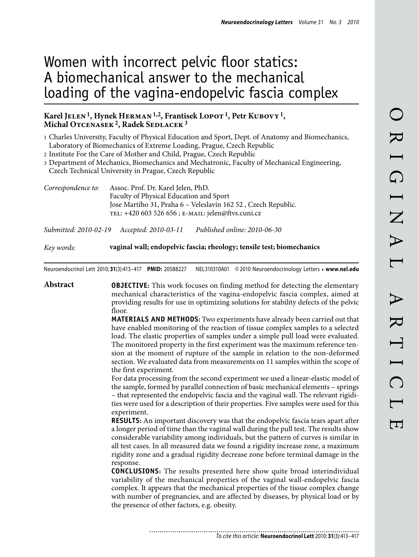# Women with incorrect pelvic floor statics: A biomechanical answer to the mechanical loading of the vagina-endopelvic fascia complex

# Karel JELEN<sup>1</sup>, Hynek HERMAN<sup>1,2</sup>, Frantisek LOPOT<sup>1</sup>, Petr KUBOVY<sup>1</sup>, Michal OTCENASEK<sup>2</sup>, Radek SEDLACEK<sup>3</sup>

1 Charles University, Faculty of Physical Education and Sport, Dept. of Anatomy and Biomechanics, Laboratory of Biomechanics of Extreme Loading, Prague, Czech Republic

2 Institute For the Care of Mother and Child, Prague, Czech Republic

3 Department of Mechanics, Biomechanics and Mechatronic, Faculty of Mechanical Engineering, Czech Technical University in Prague, Czech Republic

| Correspondence to: | Assoc. Prof. Dr. Karel Jelen, PhD.                            |
|--------------------|---------------------------------------------------------------|
|                    | Faculty of Physical Education and Sport                       |
|                    | Jose Martího 31, Praha 6 – Veleslavín 162 52, Czech Republic. |
|                    | TEL: +420 603 526 656; E-MAIL: jelen@ftvs.cuni.cz             |

*Submitted: 2010-02-19 Accepted: 2010-03-11 Published online: 2010-06-30*

*Key words:* **vaginal wall; endopelvic fascia; rheology; tensile test; biomechanics**

Neuroendocrinol Lett 2010; **31**(3):413–417 **PMID:** 20588227 NEL310310A01 ©2010 Neuroendocrinology Letters • **www.nel.edu**

**Abstract OBJECTIVE:** This work focuses on finding method for detecting the elementary mechanical characteristics of the vagina-endopelvic fascia complex, aimed at providing results for use in optimizing solutions for stability defects of the pelvic floor.

> **MATERIALS AND METHODS:** Two experiments have already been carried out that have enabled monitoring of the reaction of tissue complex samples to a selected load. The elastic properties of samples under a simple pull load were evaluated. The monitored property in the first experiment was the maximum reference tension at the moment of rupture of the sample in relation to the non-deformed section. We evaluated data from measurements on 11 samples within the scope of the first experiment.

> For data processing from the second experiment we used a linear-elastic model of the sample, formed by parallel connection of basic mechanical elements – springs – that represented the endopelvic fascia and the vaginal wall. The relevant rigidities were used for a description of their properties. Five samples were used for this experiment.

> **RESULTS:** An important discovery was that the endopelvic fascia tears apart after a longer period of time than the vaginal wall during the pull test. The results show considerable variability among individuals, but the pattern of curves is similar in all test cases. In all measured data we found a rigidity increase zone, a maximum rigidity zone and a gradual rigidity decrease zone before terminal damage in the response.

> **CONCLUSIONS:** The results presented here show quite broad interindividual variability of the mechanical properties of the vaginal wall-endopelvic fascia complex. It appears that the mechanical properties of the tissue complex change with number of pregnancies, and are affected by diseases, by physical load or by the presence of other factors, e.g. obesity.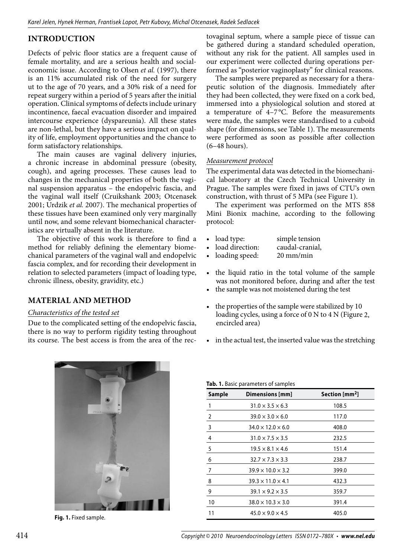# **Introduction**

Defects of pelvic floor statics are a frequent cause of female mortality, and are a serious health and socialeconomic issue. According to Olsen *et al.* (1997), there is an 11% accumulated risk of the need for surgery ut to the age of 70 years, and a 30% risk of a need for repeat surgery within a period of 5 years after the initial operation. Clinical symptoms of defects include urinary incontinence, faecal evacuation disorder and impaired intercourse experience (dyspareunia). All these states are non-lethal, but they have a serious impact on quality of life, employment opportunities and the chance to form satisfactory relationships.

The main causes are vaginal delivery injuries, a chronic increase in abdominal pressure (obesity, cough), and ageing processes. These causes lead to changes in the mechanical properties of both the vaginal suspension apparatus – the endopelvic fascia, and the vaginal wall itself (Cruikshank 2003; Otcenasek 2001; Urdzik *et al.* 2007). The mechanical properties of these tissues have been examined only very marginally until now, and some relevant biomechanical characteristics are virtually absent in the literature.

The objective of this work is therefore to find a method for reliably defining the elementary biomechanical parameters of the vaginal wall and endopelvic fascia complex, and for recording their development in relation to selected parameters (impact of loading type, chronic illness, obesity, gravidity, etc.)

**Material and method**

#### *Characteristics of the tested set*

Due to the complicated setting of the endopelvic fascia, there is no way to perform rigidity testing throughout its course. The best access is from the area of the rectovaginal septum, where a sample piece of tissue can be gathered during a standard scheduled operation, without any risk for the patient. All samples used in our experiment were collected during operations performed as "posterior vaginoplasty" for clinical reasons.

The samples were prepared as necessary for a therapeutic solution of the diagnosis. Immediately after they had been collected, they were fixed on a cork bed, immersed into a physiological solution and stored at a temperature of 4–7 °C. Before the measurements were made, the samples were standardised to a cuboid shape (for dimensions, see Table 1). The measurements were performed as soon as possible after collection (6–48 hours).

## *Measurement protocol*

The experimental data was detected in the biomechanical laboratory at the Czech Technical University in Prague. The samples were fixed in jaws of CTU's own construction, with thrust of 5 MPa (see Figure 1).

The experiment was performed on the MTS 858 Mini Bionix machine, according to the following protocol:

- load type: simple tension<br>• load direction: caudal-cranial,
- valued direction: caudal-crani<br>
loading speed: 20 mm/min
- loading speed:
- the liquid ratio in the total volume of the sample was not monitored before, during and after the test
- the sample was not moistened during the test
- the properties of the sample were stabilized by 10 loading cycles, using a force of 0 N to 4 N (Figure 2, encircled area)
- in the actual test, the inserted value was the stretching



Fig. 1. Fixed sample.

| Sample         | Dimensions [mm]               | Section [mm <sup>2</sup> ] |
|----------------|-------------------------------|----------------------------|
| 1              | $31.0 \times 3.5 \times 6.3$  | 108.5                      |
| $\overline{2}$ | $39.0 \times 3.0 \times 6.0$  | 117.0                      |
| 3              | $34.0 \times 12.0 \times 6.0$ | 408.0                      |
| 4              | $31.0 \times 7.5 \times 3.5$  | 232.5                      |
| 5              | $19.5 \times 8.1 \times 4.6$  | 151.4                      |
| 6              | $32.7 \times 7.3 \times 3.3$  | 238.7                      |
| 7              | $39.9 \times 10.0 \times 3.2$ | 399.0                      |
| 8              | $39.3 \times 11.0 \times 4.1$ | 432.3                      |
| 9              | $39.1 \times 9.2 \times 3.5$  | 359.7                      |
| 10             | $38.0 \times 10.3 \times 3.0$ | 391.4                      |
| 11             | $45.0 \times 9.0 \times 4.5$  | 405.0                      |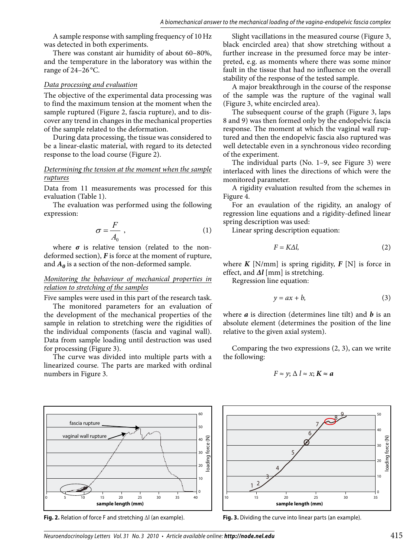A sample response with sampling frequency of 10Hz was detected in both experiments.

There was constant air humidity of about 60–80%, and the temperature in the laboratory was within the range of 24–26 °C.

### *Data processing and evaluation*

The objective of the experimental data processing was to find the maximum tension at the moment when the sample ruptured (Figure 2, fascia rupture), and to discover any trend in changes in the mechanical properties of the sample related to the deformation.

During data processing, the tissue was considered to be a linear-elastic material, with regard to its detected response to the load course (Figure 2).

## *Determining the tension at the moment when the sample ruptures*

Data from 11 measurements was processed for this evaluation (Table 1).

The evaluation was performed using the following expression:

$$
\sigma = \frac{F}{A_0} \tag{1}
$$

where  $\sigma$  is relative tension (related to the nondeformed section), *F* is force at the moment of rupture, and  $A_0$  is a section of the non-deformed sample.

## *Monitoring the behaviour of mechanical properties in relation to stretching of the samples*

Five samples were used in this part of the research task.

The monitored parameters for an evaluation of the development of the mechanical properties of the sample in relation to stretching were the rigidities of the individual components (fascia and vaginal wall). Data from sample loading until destruction was used for processing (Figure 3).

The curve was divided into multiple parts with a linearized course. The parts are marked with ordinal numbers in Figure 3.



**Fig. 2.** Relation of force F and stretching ∆l (an example).

Slight vacillations in the measured course (Figure 3, black encircled area) that show stretching without a further increase in the presumed force may be interpreted, e.g. as moments where there was some minor fault in the tissue that had no influence on the overall stability of the response of the tested sample.

A major breakthrough in the course of the response of the sample was the rupture of the vaginal wall (Figure 3, white encircled area).

The subsequent course of the graph (Figure 3, laps 8 and 9) was then formed only by the endopelvic fascia response. The moment at which the vaginal wall ruptured and then the endopelvic fascia also ruptured was well detectable even in a synchronous video recording of the experiment.

The individual parts (No. 1–9, see Figure 3) were interlaced with lines the directions of which were the monitored parameter.

A rigidity evaluation resulted from the schemes in Figure 4.

For an evaulation of the rigidity, an analogy of regression line equations and a rigidity-defined linear spring description was used:

Linear spring description equation:

$$
F = K\Delta l,\tag{2}
$$

where  $K$  [N/mm] is spring rigidity,  $F$  [N] is force in effect, and *∆l* [mm] is stretching.

Regression line equation:

$$
y = ax + b,\tag{3}
$$

where *a* is direction (determines line tilt) and *b* is an absolute element (determines the position of the line relative to the given axial system).

Comparing the two expressions (2, 3), can we write the following:

$$
F \approx y; \Delta l \approx x; K \approx a
$$



**Fig. 3.** Dividing the curve into linear parts (an example).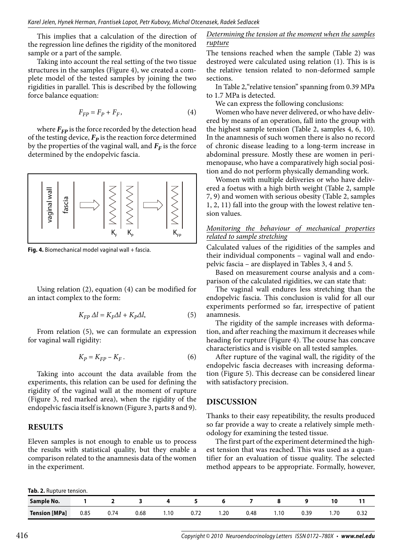This implies that a calculation of the direction of the regression line defines the rigidity of the monitored sample or a part of the sample.

Taking into account the real setting of the two tissue structures in the samples (Figure 4), we created a complete model of the tested samples by joining the two rigidities in parallel. This is described by the following force balance equation:

$$
F_{FP} = F_P + F_F,\tag{4}
$$

where  $F_{FP}$  is the force recorded by the detection head of the testing device,  $F_p$  is the reaction force determined by the properties of the vaginal wall, and  $F_F$  is the force determined by the endopelvic fascia.



**Fig. 4.** Biomechanical model vaginal wall + fascia.

Using relation (2), equation (4) can be modified for an intact complex to the form:

$$
K_{FP} \Delta l = K_F \Delta l + K_p \Delta l,\tag{5}
$$

From relation (5), we can formulate an expression for vaginal wall rigidity:

$$
K_P = K_{FP} - K_F. \tag{6}
$$

Taking into account the data available from the experiments, this relation can be used for defining the rigidity of the vaginal wall at the moment of rupture (Figure 3, red marked area), when the rigidity of the endopelvic fascia itself is known (Figure 3, parts 8 and 9).

#### **Results**

Eleven samples is not enough to enable us to process the results with statistical quality, but they enable a comparison related to the anamnesis data of the women in the experiment.

#### *Determining the tension at the moment when the samples rupture*

The tensions reached when the sample (Table 2) was destroyed were calculated using relation (1). This is is the relative tension related to non-deformed sample sections.

In Table 2,"relative tension" spanning from 0.39 MPa to 1.7 MPa is detected.

We can express the following conclusions:

Women who have never delivered, or who have delivered by means of an operation, fall into the group with the highest sample tension (Table 2, samples 4, 6, 10). In the anamnesis of such women there is also no record of chronic disease leading to a long-term increase in abdominal pressure. Mostly these are women in perimenopause, who have a comparatively high social position and do not perform physically demanding work.

Women with multiple deliveries or who have delivered a foetus with a high birth weight (Table 2, sample 7, 9) and women with serious obesity (Table 2, samples 1, 2, 11) fall into the group with the lowest relative tension values.

#### *Monitoring the behaviour of mechanical properties related to sample stretching*

Calculated values of the rigidities of the samples and their individual components – vaginal wall and endopelvic fascia – are displayed in Tables 3, 4 and 5.

Based on measurement course analysis and a comparison of the calculated rigidities, we can state that:

The vaginal wall endures less stretching than the endopelvic fascia. This conclusion is valid for all our experiments performed so far, irrespective of patient anamnesis.

The rigidity of the sample increases with deformation, and after reaching the maximum it decreases while heading for rupture (Figure 4). The course has concave characteristics and is visible on all tested samples.

After rupture of the vaginal wall, the rigidity of the endopelvic fascia decreases with increasing deformation (Figure 5). This decrease can be considered linear with satisfactory precision.

## **Discussion**

Thanks to their easy repeatibility, the results produced so far provide a way to create a relatively simple methodology for examining the tested tissue.

The first part of the experiment determined the highest tension that was reached. This was used as a quantifier for an evaluation of tissue quality. The selected method appears to be appropriate. Formally, however,

| Tab. 2. Rupture tension. |  |
|--------------------------|--|
|--------------------------|--|

**Sample No. 1 2 3 4 5 6 7 8 9 10 11 Tension [MPa]** 0.85 0.74 0.68 1.10 0.72 1.20 0.48 1.10 0.39 1.70 0.32